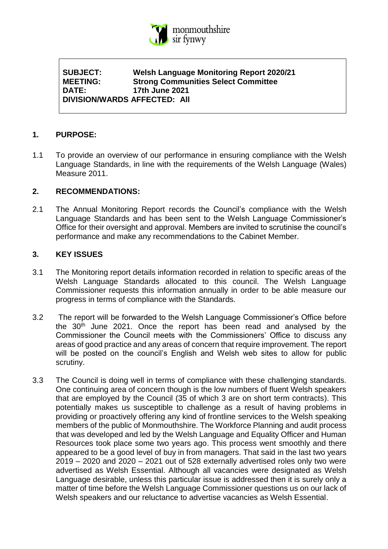

**SUBJECT: Welsh Language Monitoring Report 2020/21 MEETING: Strong Communities Select Committee DATE: 17th June 2021 DIVISION/WARDS AFFECTED: All**

#### **1. PURPOSE:**

1.1 To provide an overview of our performance in ensuring compliance with the Welsh Language Standards, in line with the requirements of the Welsh Language (Wales) Measure 2011.

#### **2. RECOMMENDATIONS:**

2.1 The Annual Monitoring Report records the Council's compliance with the Welsh Language Standards and has been sent to the Welsh Language Commissioner's Office for their oversight and approval. Members are invited to scrutinise the council's performance and make any recommendations to the Cabinet Member.

#### **3. KEY ISSUES**

- 3.1 The Monitoring report details information recorded in relation to specific areas of the Welsh Language Standards allocated to this council. The Welsh Language Commissioner requests this information annually in order to be able measure our progress in terms of compliance with the Standards.
- 3.2 The report will be forwarded to the Welsh Language Commissioner's Office before the 30<sup>th</sup> June 2021. Once the report has been read and analysed by the Commissioner the Council meets with the Commissioners' Office to discuss any areas of good practice and any areas of concern that require improvement. The report will be posted on the council's English and Welsh web sites to allow for public scrutiny.
- 3.3 The Council is doing well in terms of compliance with these challenging standards. One continuing area of concern though is the low numbers of fluent Welsh speakers that are employed by the Council (35 of which 3 are on short term contracts). This potentially makes us susceptible to challenge as a result of having problems in providing or proactively offering any kind of frontline services to the Welsh speaking members of the public of Monmouthshire. The Workforce Planning and audit process that was developed and led by the Welsh Language and Equality Officer and Human Resources took place some two years ago. This process went smoothly and there appeared to be a good level of buy in from managers. That said in the last two years 2019 – 2020 and 2020 – 2021 out of 528 externally advertised roles only two were advertised as Welsh Essential. Although all vacancies were designated as Welsh Language desirable, unless this particular issue is addressed then it is surely only a matter of time before the Welsh Language Commissioner questions us on our lack of Welsh speakers and our reluctance to advertise vacancies as Welsh Essential.